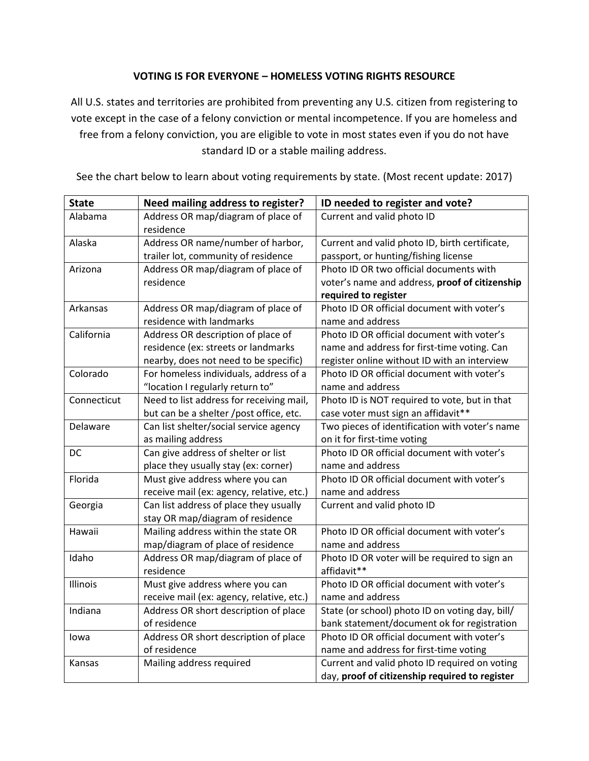## **VOTING IS FOR EVERYONE – HOMELESS VOTING RIGHTS RESOURCE**

All U.S. states and territories are prohibited from preventing any U.S. citizen from registering to vote except in the case of a felony conviction or mental incompetence. If you are homeless and free from a felony conviction, you are eligible to vote in most states even if you do not have standard ID or a stable mailing address.

| <b>State</b> | Need mailing address to register?               | ID needed to register and vote?                 |
|--------------|-------------------------------------------------|-------------------------------------------------|
| Alabama      | Address OR map/diagram of place of<br>residence | Current and valid photo ID                      |
| Alaska       | Address OR name/number of harbor,               | Current and valid photo ID, birth certificate,  |
|              | trailer lot, community of residence             | passport, or hunting/fishing license            |
| Arizona      | Address OR map/diagram of place of              | Photo ID OR two official documents with         |
|              | residence                                       | voter's name and address, proof of citizenship  |
|              |                                                 | required to register                            |
| Arkansas     | Address OR map/diagram of place of              | Photo ID OR official document with voter's      |
|              | residence with landmarks                        | name and address                                |
| California   | Address OR description of place of              | Photo ID OR official document with voter's      |
|              | residence (ex: streets or landmarks             | name and address for first-time voting. Can     |
|              | nearby, does not need to be specific)           | register online without ID with an interview    |
| Colorado     | For homeless individuals, address of a          | Photo ID OR official document with voter's      |
|              | "location I regularly return to"                | name and address                                |
| Connecticut  | Need to list address for receiving mail,        | Photo ID is NOT required to vote, but in that   |
|              | but can be a shelter /post office, etc.         | case voter must sign an affidavit**             |
| Delaware     | Can list shelter/social service agency          | Two pieces of identification with voter's name  |
|              | as mailing address                              | on it for first-time voting                     |
| DC           | Can give address of shelter or list             | Photo ID OR official document with voter's      |
|              | place they usually stay (ex: corner)            | name and address                                |
| Florida      | Must give address where you can                 | Photo ID OR official document with voter's      |
|              | receive mail (ex: agency, relative, etc.)       | name and address                                |
| Georgia      | Can list address of place they usually          | Current and valid photo ID                      |
|              | stay OR map/diagram of residence                |                                                 |
| Hawaii       | Mailing address within the state OR             | Photo ID OR official document with voter's      |
|              | map/diagram of place of residence               | name and address                                |
| Idaho        | Address OR map/diagram of place of              | Photo ID OR voter will be required to sign an   |
|              | residence                                       | affidavit**                                     |
| Illinois     | Must give address where you can                 | Photo ID OR official document with voter's      |
|              | receive mail (ex: agency, relative, etc.)       | name and address                                |
| Indiana      | Address OR short description of place           | State (or school) photo ID on voting day, bill/ |
|              | of residence                                    | bank statement/document ok for registration     |
| lowa         | Address OR short description of place           | Photo ID OR official document with voter's      |
|              | of residence                                    | name and address for first-time voting          |
| Kansas       | Mailing address required                        | Current and valid photo ID required on voting   |
|              |                                                 | day, proof of citizenship required to register  |

See the chart below to learn about voting requirements by state. (Most recent update: 2017)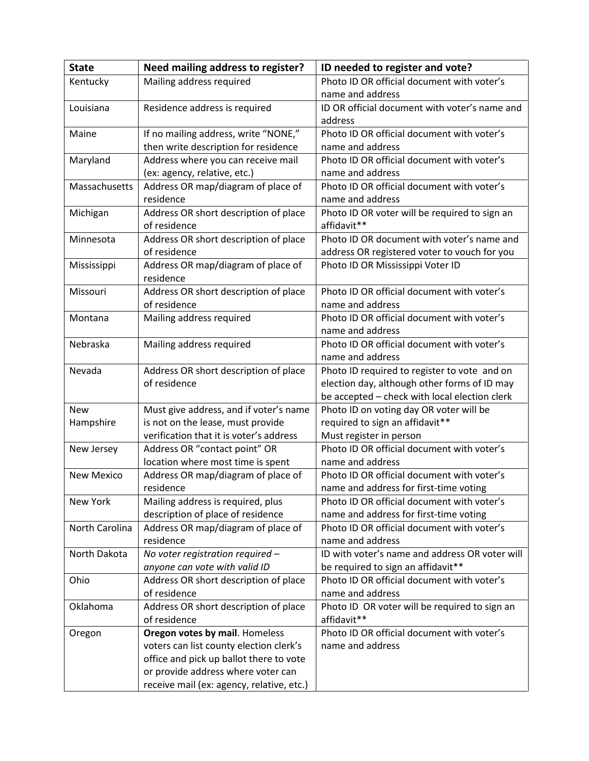| <b>State</b>      | Need mailing address to register?               | ID needed to register and vote?                                                      |
|-------------------|-------------------------------------------------|--------------------------------------------------------------------------------------|
| Kentucky          | Mailing address required                        | Photo ID OR official document with voter's                                           |
|                   |                                                 | name and address                                                                     |
| Louisiana         | Residence address is required                   | ID OR official document with voter's name and                                        |
|                   |                                                 | address                                                                              |
| Maine             | If no mailing address, write "NONE,"            | Photo ID OR official document with voter's                                           |
|                   | then write description for residence            | name and address                                                                     |
| Maryland          | Address where you can receive mail              | Photo ID OR official document with voter's                                           |
|                   | (ex: agency, relative, etc.)                    | name and address                                                                     |
| Massachusetts     | Address OR map/diagram of place of              | Photo ID OR official document with voter's                                           |
|                   | residence                                       | name and address                                                                     |
| Michigan          | Address OR short description of place           | Photo ID OR voter will be required to sign an                                        |
|                   | of residence                                    | affidavit**                                                                          |
| Minnesota         | Address OR short description of place           | Photo ID OR document with voter's name and                                           |
|                   | of residence                                    | address OR registered voter to vouch for you                                         |
| Mississippi       | Address OR map/diagram of place of              | Photo ID OR Mississippi Voter ID                                                     |
|                   | residence                                       |                                                                                      |
| Missouri          | Address OR short description of place           | Photo ID OR official document with voter's                                           |
|                   | of residence                                    | name and address                                                                     |
| Montana           | Mailing address required                        | Photo ID OR official document with voter's                                           |
|                   |                                                 | name and address                                                                     |
| Nebraska          | Mailing address required                        | Photo ID OR official document with voter's                                           |
|                   |                                                 | name and address                                                                     |
| Nevada            | Address OR short description of place           | Photo ID required to register to vote and on                                         |
|                   | of residence                                    | election day, although other forms of ID may                                         |
|                   |                                                 | be accepted - check with local election clerk                                        |
| <b>New</b>        | Must give address, and if voter's name          | Photo ID on voting day OR voter will be                                              |
| Hampshire         | is not on the lease, must provide               | required to sign an affidavit**                                                      |
|                   | verification that it is voter's address         | Must register in person                                                              |
| New Jersey        | Address OR "contact point" OR                   | Photo ID OR official document with voter's                                           |
|                   | location where most time is spent               | name and address                                                                     |
| <b>New Mexico</b> | Address OR map/diagram of place of<br>residence | Photo ID OR official document with voter's                                           |
| New York          | Mailing address is required, plus               | name and address for first-time voting<br>Photo ID OR official document with voter's |
|                   | description of place of residence               | name and address for first-time voting                                               |
| North Carolina    | Address OR map/diagram of place of              | Photo ID OR official document with voter's                                           |
|                   | residence                                       | name and address                                                                     |
| North Dakota      | No voter registration required -                | ID with voter's name and address OR voter will                                       |
|                   | anyone can vote with valid ID                   | be required to sign an affidavit**                                                   |
| Ohio              | Address OR short description of place           | Photo ID OR official document with voter's                                           |
|                   | of residence                                    | name and address                                                                     |
| Oklahoma          | Address OR short description of place           | Photo ID OR voter will be required to sign an                                        |
|                   | of residence                                    | affidavit**                                                                          |
| Oregon            | Oregon votes by mail. Homeless                  | Photo ID OR official document with voter's                                           |
|                   | voters can list county election clerk's         | name and address                                                                     |
|                   | office and pick up ballot there to vote         |                                                                                      |
|                   | or provide address where voter can              |                                                                                      |
|                   | receive mail (ex: agency, relative, etc.)       |                                                                                      |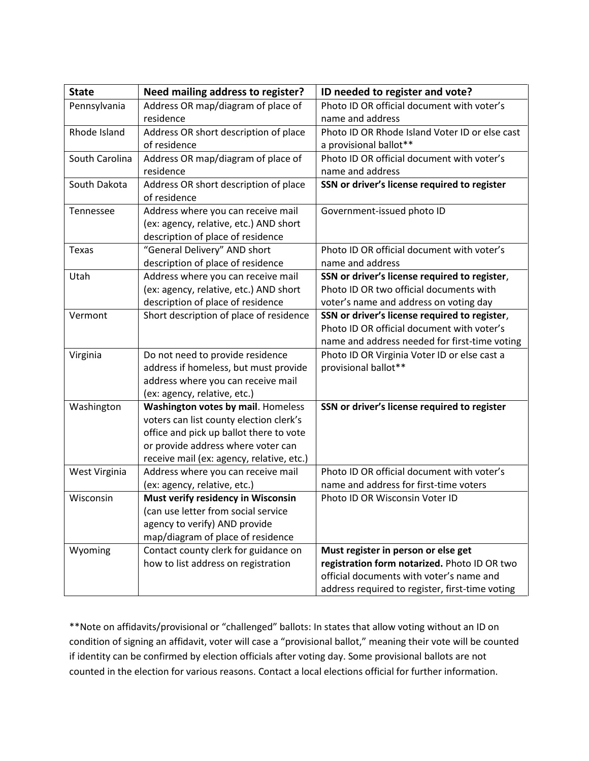| <b>State</b>   | Need mailing address to register?         | ID needed to register and vote?                 |
|----------------|-------------------------------------------|-------------------------------------------------|
| Pennsylvania   | Address OR map/diagram of place of        | Photo ID OR official document with voter's      |
|                | residence                                 | name and address                                |
| Rhode Island   | Address OR short description of place     | Photo ID OR Rhode Island Voter ID or else cast  |
|                | of residence                              | a provisional ballot**                          |
| South Carolina | Address OR map/diagram of place of        | Photo ID OR official document with voter's      |
|                | residence                                 | name and address                                |
| South Dakota   | Address OR short description of place     | SSN or driver's license required to register    |
|                | of residence                              |                                                 |
| Tennessee      | Address where you can receive mail        | Government-issued photo ID                      |
|                | (ex: agency, relative, etc.) AND short    |                                                 |
|                | description of place of residence         |                                                 |
| Texas          | "General Delivery" AND short              | Photo ID OR official document with voter's      |
|                | description of place of residence         | name and address                                |
| Utah           | Address where you can receive mail        | SSN or driver's license required to register,   |
|                | (ex: agency, relative, etc.) AND short    | Photo ID OR two official documents with         |
|                | description of place of residence         | voter's name and address on voting day          |
| Vermont        | Short description of place of residence   | SSN or driver's license required to register,   |
|                |                                           | Photo ID OR official document with voter's      |
|                |                                           | name and address needed for first-time voting   |
| Virginia       | Do not need to provide residence          | Photo ID OR Virginia Voter ID or else cast a    |
|                | address if homeless, but must provide     | provisional ballot**                            |
|                | address where you can receive mail        |                                                 |
|                | (ex: agency, relative, etc.)              |                                                 |
| Washington     | <b>Washington votes by mail. Homeless</b> | SSN or driver's license required to register    |
|                | voters can list county election clerk's   |                                                 |
|                | office and pick up ballot there to vote   |                                                 |
|                | or provide address where voter can        |                                                 |
|                | receive mail (ex: agency, relative, etc.) |                                                 |
| West Virginia  | Address where you can receive mail        | Photo ID OR official document with voter's      |
|                | (ex: agency, relative, etc.)              | name and address for first-time voters          |
| Wisconsin      | Must verify residency in Wisconsin        | Photo ID OR Wisconsin Voter ID                  |
|                | (can use letter from social service       |                                                 |
|                | agency to verify) AND provide             |                                                 |
|                | map/diagram of place of residence         |                                                 |
| Wyoming        | Contact county clerk for guidance on      | Must register in person or else get             |
|                | how to list address on registration       | registration form notarized. Photo ID OR two    |
|                |                                           | official documents with voter's name and        |
|                |                                           | address required to register, first-time voting |

\*\*Note on affidavits/provisional or "challenged" ballots: In states that allow voting without an ID on condition of signing an affidavit, voter will case a "provisional ballot," meaning their vote will be counted if identity can be confirmed by election officials after voting day. Some provisional ballots are not counted in the election for various reasons. Contact a local elections official for further information.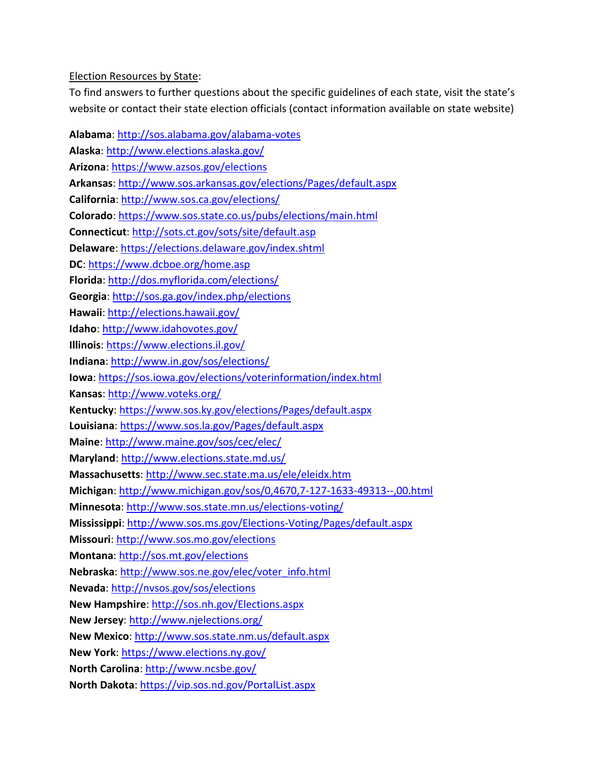#### Election Resources by State:

To find answers to further questions about the specific guidelines of each state, visit the state's website or contact their state election officials (contact information available on state website)

**Alabama**:<http://sos.alabama.gov/alabama-votes> **Alaska**:<http://www.elections.alaska.gov/> **Arizona**: <https://www.azsos.gov/elections> **Arkansas**: <http://www.sos.arkansas.gov/elections/Pages/default.aspx> **California**: <http://www.sos.ca.gov/elections/> **Colorado**: <https://www.sos.state.co.us/pubs/elections/main.html> **Connecticut**: <http://sots.ct.gov/sots/site/default.asp> **Delaware**: <https://elections.delaware.gov/index.shtml> **DC**: <https://www.dcboe.org/home.asp> **Florida**: <http://dos.myflorida.com/elections/> **Georgia**: <http://sos.ga.gov/index.php/elections> **Hawaii**: <http://elections.hawaii.gov/> **Idaho**: <http://www.idahovotes.gov/> **Illinois**: <https://www.elections.il.gov/> **Indiana**: <http://www.in.gov/sos/elections/> **Iowa**: <https://sos.iowa.gov/elections/voterinformation/index.html> **Kansas**: <http://www.voteks.org/> **Kentucky**: <https://www.sos.ky.gov/elections/Pages/default.aspx> **Louisiana**: <https://www.sos.la.gov/Pages/default.aspx> **Maine**: <http://www.maine.gov/sos/cec/elec/> **Maryland**: <http://www.elections.state.md.us/> **Massachusetts**: <http://www.sec.state.ma.us/ele/eleidx.htm> **Michigan**: <http://www.michigan.gov/sos/0,4670,7-127-1633-49313--,00.html> **Minnesota**: <http://www.sos.state.mn.us/elections-voting/> **Mississippi**: <http://www.sos.ms.gov/Elections-Voting/Pages/default.aspx> **Missouri**: <http://www.sos.mo.gov/elections> **Montana**: <http://sos.mt.gov/elections> **Nebraska**: [http://www.sos.ne.gov/elec/voter\\_info.html](http://www.sos.ne.gov/elec/voter_info.html) **Nevada**: <http://nvsos.gov/sos/elections> **New Hampshire**: <http://sos.nh.gov/Elections.aspx> **New Jersey**: <http://www.njelections.org/> **New Mexico**: <http://www.sos.state.nm.us/default.aspx> **New York**: <https://www.elections.ny.gov/> **North Carolina**: <http://www.ncsbe.gov/> **North Dakota**: <https://vip.sos.nd.gov/PortalList.aspx>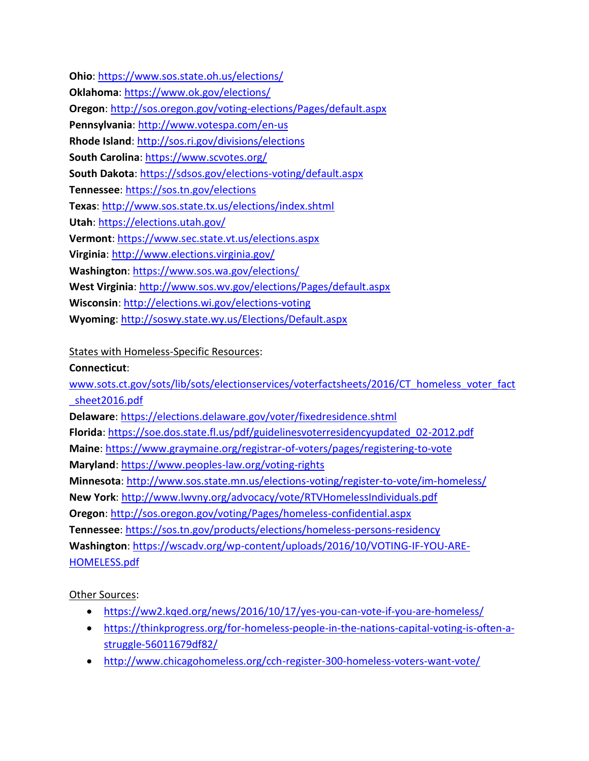**Ohio**: <https://www.sos.state.oh.us/elections/> **Oklahoma**: <https://www.ok.gov/elections/> **Oregon**: <http://sos.oregon.gov/voting-elections/Pages/default.aspx> **Pennsylvania**: <http://www.votespa.com/en-us> **Rhode Island**: <http://sos.ri.gov/divisions/elections> **South Carolina**: <https://www.scvotes.org/> **South Dakota**: <https://sdsos.gov/elections-voting/default.aspx> **Tennessee**: <https://sos.tn.gov/elections> **Texas**: <http://www.sos.state.tx.us/elections/index.shtml> **Utah**: <https://elections.utah.gov/> **Vermont**: <https://www.sec.state.vt.us/elections.aspx> **Virginia**: <http://www.elections.virginia.gov/> **Washington**: <https://www.sos.wa.gov/elections/> **West Virginia**: <http://www.sos.wv.gov/elections/Pages/default.aspx> **Wisconsin**: <http://elections.wi.gov/elections-voting> **Wyoming**: <http://soswy.state.wy.us/Elections/Default.aspx>

## States with Homeless-Specific Resources:

#### **Connecticut**:

[www.sots.ct.gov/sots/lib/sots/electionservices/voterfactsheets/2016/CT\\_homeless\\_voter\\_fact](http://www.sots.ct.gov/sots/lib/sots/electionservices/voterfactsheets/2016/CT_homeless_voter_fact_sheet2016.pdf) [\\_sheet2016.pdf](http://www.sots.ct.gov/sots/lib/sots/electionservices/voterfactsheets/2016/CT_homeless_voter_fact_sheet2016.pdf) **Delaware**:<https://elections.delaware.gov/voter/fixedresidence.shtml> **Florida**: [https://soe.dos.state.fl.us/pdf/guidelinesvoterresidencyupdated\\_02-2012.pdf](https://soe.dos.state.fl.us/pdf/guidelinesvoterresidencyupdated_02-2012.pdf) **Maine**:<https://www.graymaine.org/registrar-of-voters/pages/registering-to-vote> **Maryland**:<https://www.peoples-law.org/voting-rights> **Minnesota**:<http://www.sos.state.mn.us/elections-voting/register-to-vote/im-homeless/> **New York**:<http://www.lwvny.org/advocacy/vote/RTVHomelessIndividuals.pdf> **Oregon**:<http://sos.oregon.gov/voting/Pages/homeless-confidential.aspx> **Tennessee**:<https://sos.tn.gov/products/elections/homeless-persons-residency> **Washington**: [https://wscadv.org/wp-content/uploads/2016/10/VOTING-IF-YOU-ARE-](https://wscadv.org/wp-content/uploads/2016/10/VOTING-IF-YOU-ARE-HOMELESS.pdf)[HOMELESS.pdf](https://wscadv.org/wp-content/uploads/2016/10/VOTING-IF-YOU-ARE-HOMELESS.pdf)

# Other Sources:

- <https://ww2.kqed.org/news/2016/10/17/yes-you-can-vote-if-you-are-homeless/>
- [https://thinkprogress.org/for-homeless-people-in-the-nations-capital-voting-is-often-a](https://thinkprogress.org/for-homeless-people-in-the-nations-capital-voting-is-often-a-struggle-56011679df82/)[struggle-56011679df82/](https://thinkprogress.org/for-homeless-people-in-the-nations-capital-voting-is-often-a-struggle-56011679df82/)
- <http://www.chicagohomeless.org/cch-register-300-homeless-voters-want-vote/>